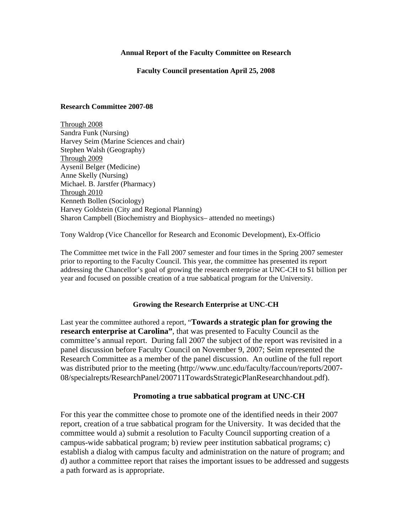## **Annual Report of the Faculty Committee on Research**

**Faculty Council presentation April 25, 2008**

## **Research Committee 2007-08**

Through 2008 Sandra Funk (Nursing) Harvey Seim (Marine Sciences and chair) Stephen Walsh (Geography) Through 2009 Aysenil Belger (Medicine) Anne Skelly (Nursing) Michael. B. Jarstfer (Pharmacy) Through 2010 Kenneth Bollen (Sociology) Harvey Goldstein (City and Regional Planning) Sharon Campbell (Biochemistry and Biophysics– attended no meetings)

Tony Waldrop (Vice Chancellor for Research and Economic Development), Ex-Officio

The Committee met twice in the Fall 2007 semester and four times in the Spring 2007 semester prior to reporting to the Faculty Council. This year, the committee has presented its report addressing the Chancellor's goal of growing the research enterprise at UNC-CH to \$1 billion per year and focused on possible creation of a true sabbatical program for the University.

## **Growing the Research Enterprise at UNC-CH**

Last year the committee authored a report, "**Towards a strategic plan for growing the research enterprise at Carolina"**, that was presented to Faculty Council as the committee's annual report. During fall 2007 the subject of the report was revisited in a panel discussion before Faculty Council on November 9, 2007; Seim represented the Research Committee as a member of the panel discussion. An outline of the full report was distributed prior to the meeting (http://www.unc.edu/faculty/faccoun/reports/2007- 08/specialrepts/ResearchPanel/200711TowardsStrategicPlanResearchhandout.pdf).

## **Promoting a true sabbatical program at UNC-CH**

For this year the committee chose to promote one of the identified needs in their 2007 report, creation of a true sabbatical program for the University. It was decided that the committee would a) submit a resolution to Faculty Council supporting creation of a campus-wide sabbatical program; b) review peer institution sabbatical programs; c) establish a dialog with campus faculty and administration on the nature of program; and d) author a committee report that raises the important issues to be addressed and suggests a path forward as is appropriate.